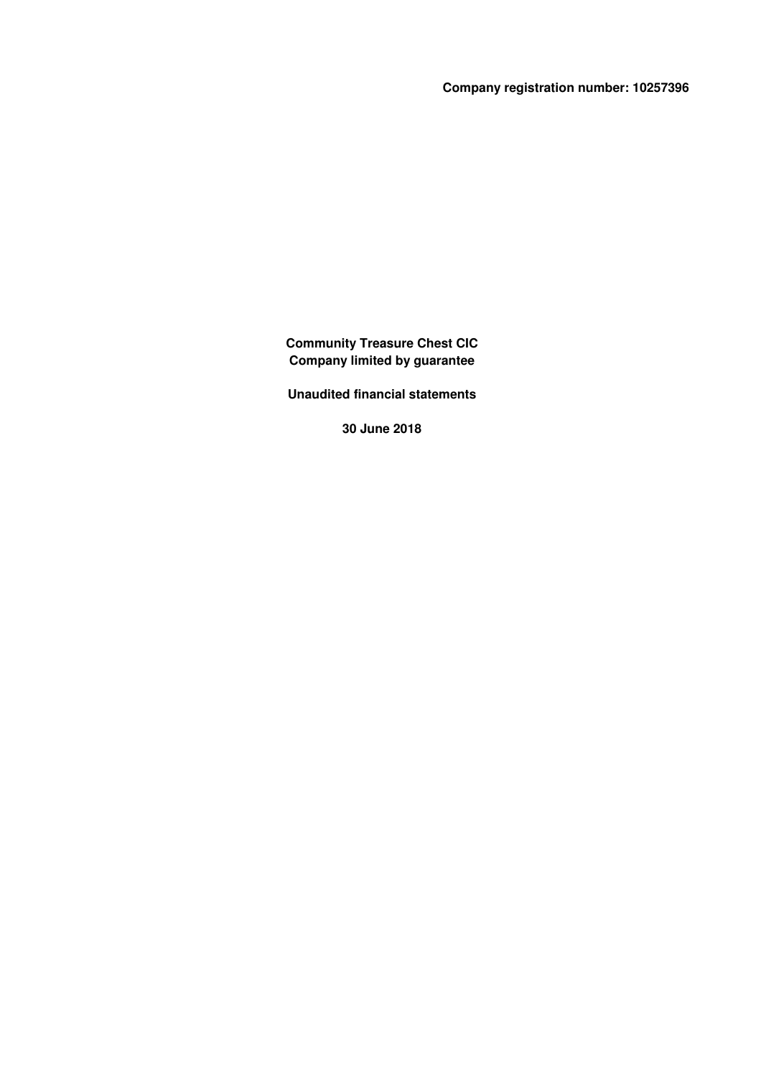**Company registration number: 10257396**

**Community Treasure Chest CIC Company limited by guarantee**

**Unaudited financial statements**

**30 June 2018**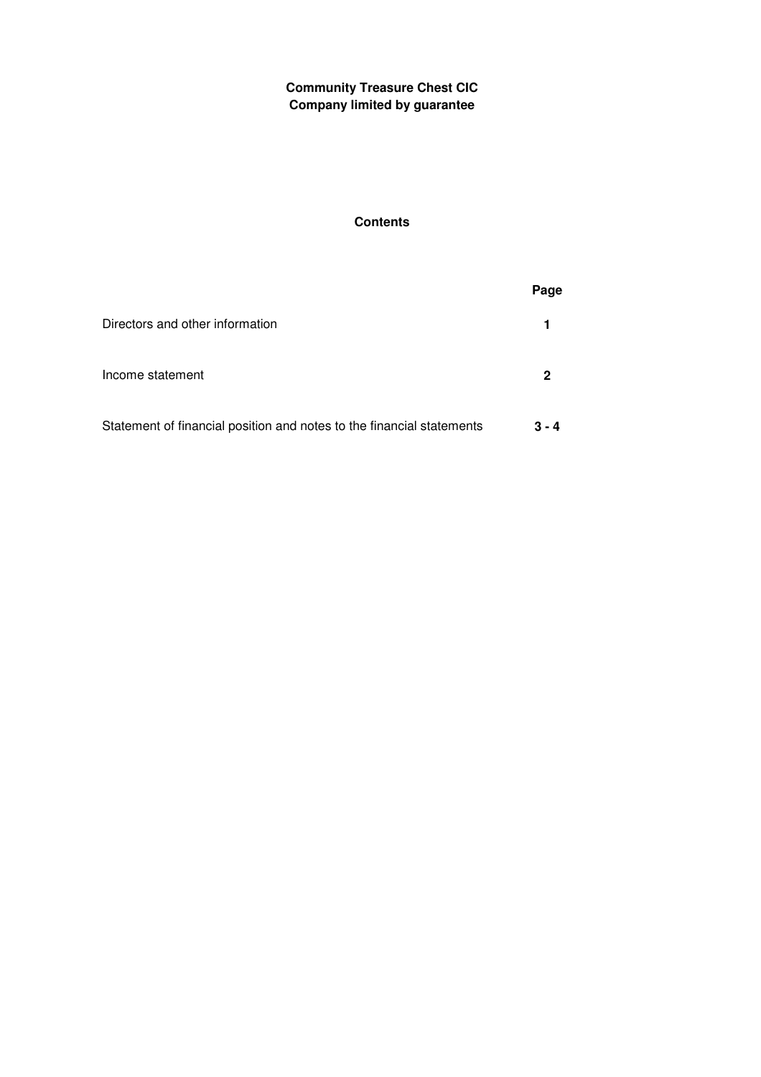# **Contents**

|                                                                       | Page    |
|-----------------------------------------------------------------------|---------|
| Directors and other information                                       |         |
| Income statement                                                      |         |
| Statement of financial position and notes to the financial statements | $3 - 4$ |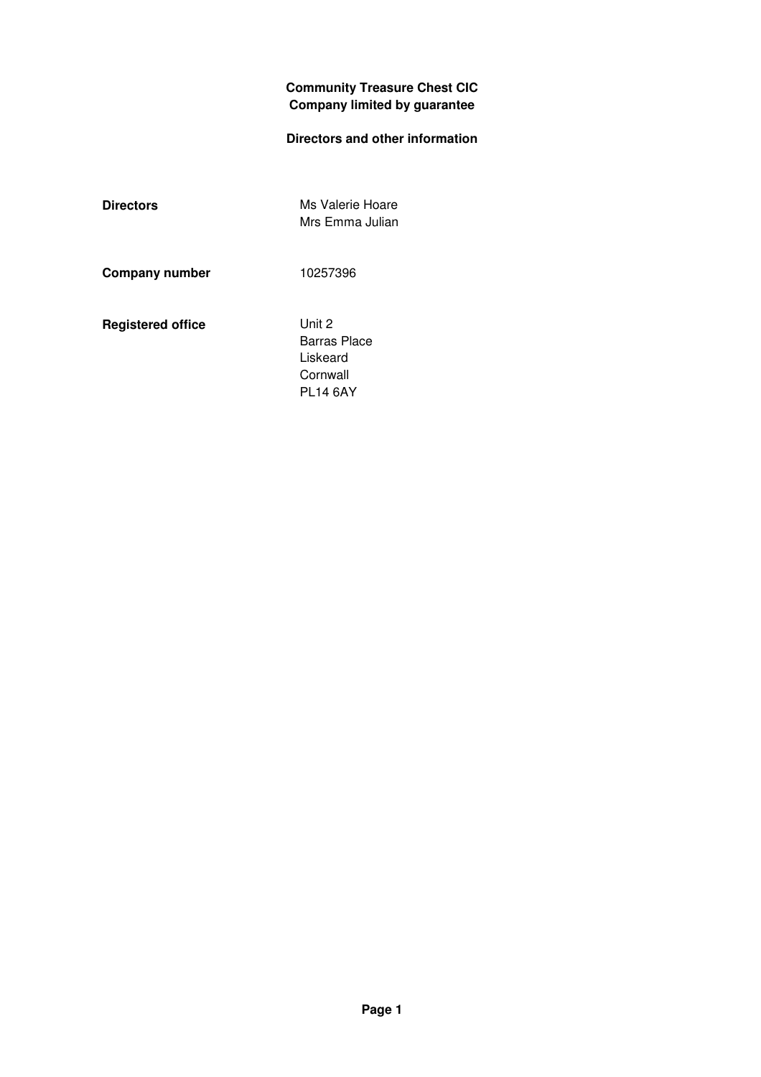## **Directors and other information**

**Directors** Ms Valerie Hoare Mrs Emma Julian

**Company number** 10257396

**Registered office** Unit 2

Barras Place Liskeard **Cornwall** PL14 6AY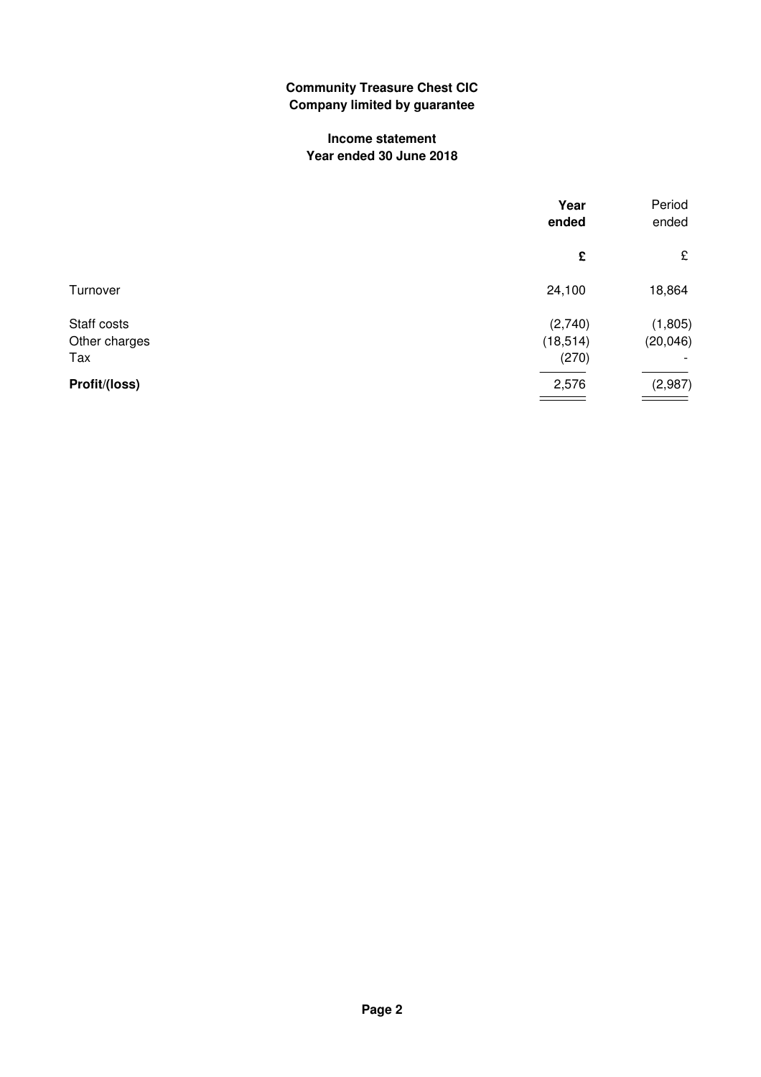#### **Income statement Year ended 30 June 2018**

|               | Year<br>ended | Period<br>ended |
|---------------|---------------|-----------------|
|               | £             | £               |
| Turnover      | 24,100        | 18,864          |
| Staff costs   | (2,740)       | (1, 805)        |
| Other charges | (18, 514)     | (20, 046)       |
| Tax           | (270)         |                 |
| Profit/(loss) | 2,576         | (2,987)         |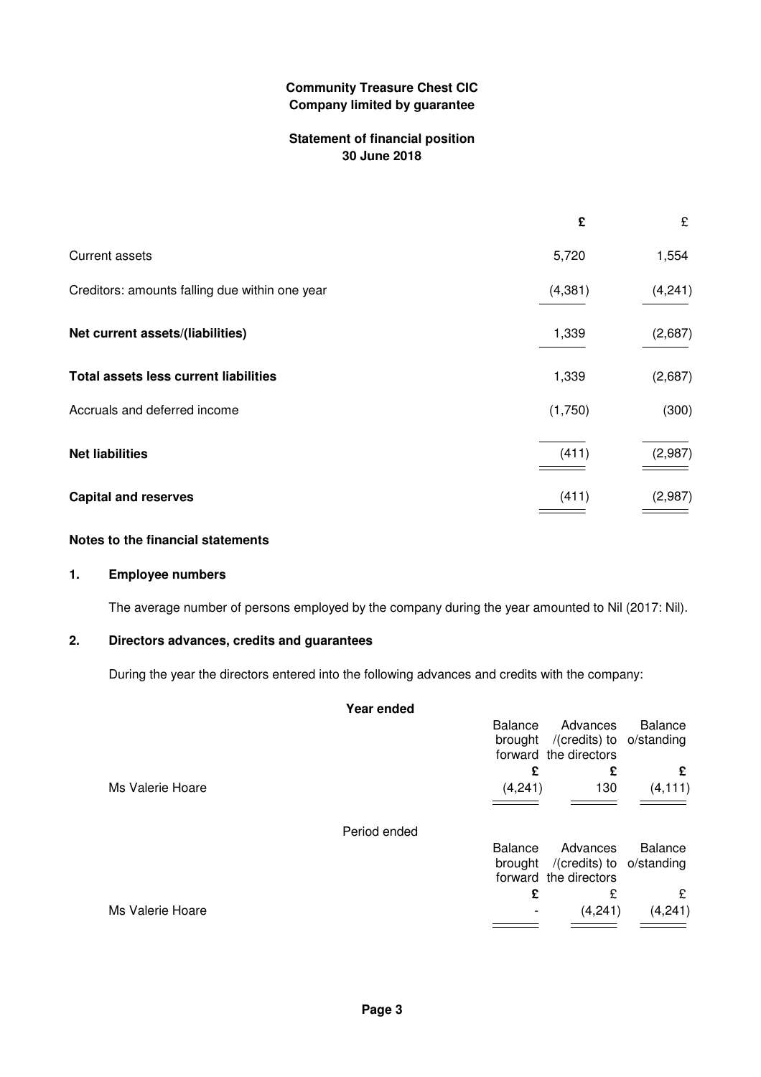#### **Statement of financial position 30 June 2018**

|                                                | £       | £       |
|------------------------------------------------|---------|---------|
| <b>Current assets</b>                          | 5,720   | 1,554   |
| Creditors: amounts falling due within one year | (4,381) | (4,241) |
| Net current assets/(liabilities)               | 1,339   | (2,687) |
| Total assets less current liabilities          | 1,339   | (2,687) |
| Accruals and deferred income                   | (1,750) | (300)   |
| <b>Net liabilities</b>                         | (411)   | (2,987) |
| <b>Capital and reserves</b>                    | (411)   | (2,987) |

#### **Notes to the financial statements**

#### **1. Employee numbers**

The average number of persons employed by the company during the year amounted to Nil (2017: Nil).

#### **2. Directors advances, credits and guarantees**

During the year the directors entered into the following advances and credits with the company:

|                  | Year ended     |         |                                                                       |          |
|------------------|----------------|---------|-----------------------------------------------------------------------|----------|
|                  | <b>Balance</b> |         | Advances<br>brought /(credits) to o/standing<br>forward the directors | Balance  |
|                  |                | £       | £                                                                     | £        |
| Ms Valerie Hoare |                | (4,241) | 130                                                                   | (4, 111) |
|                  | Period ended   |         |                                                                       |          |
|                  | <b>Balance</b> |         | Advances                                                              | Balance  |
|                  |                |         | brought /(credits) to o/standing<br>forward the directors             |          |
|                  |                | £       | £                                                                     | £        |
| Ms Valerie Hoare |                |         | (4,241)                                                               | (4,241)  |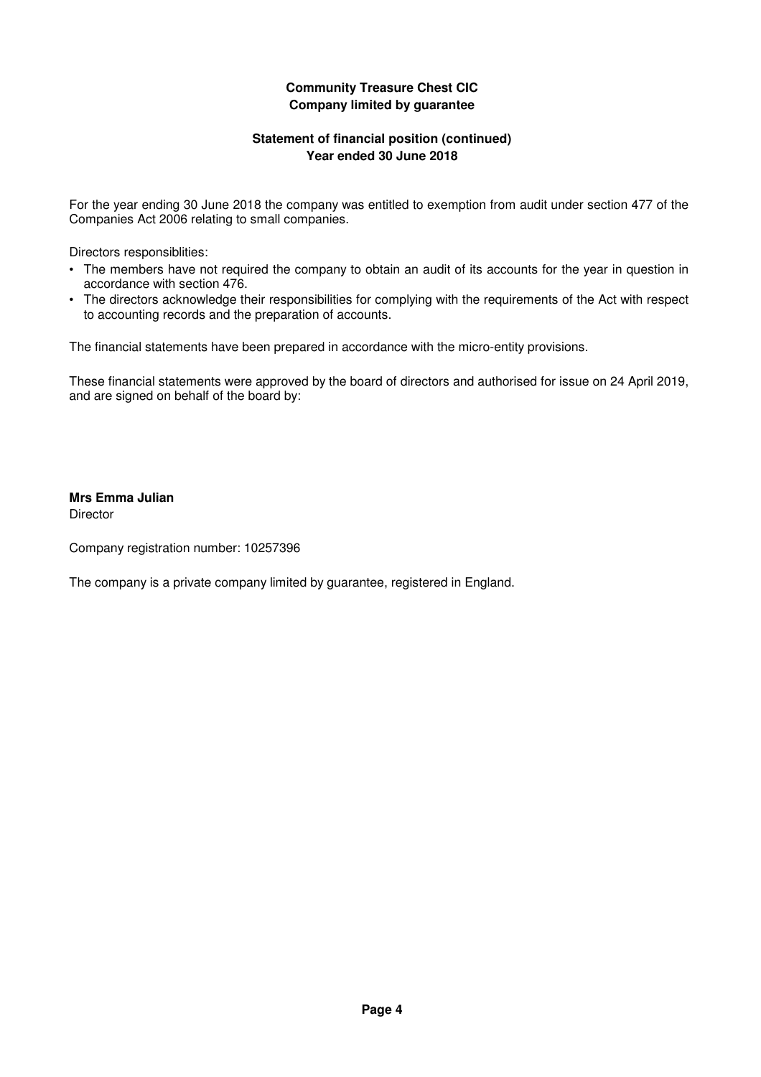#### **Statement of financial position (continued) Year ended 30 June 2018**

For the year ending 30 June 2018 the company was entitled to exemption from audit under section 477 of the Companies Act 2006 relating to small companies.

Directors responsiblities:

- The members have not required the company to obtain an audit of its accounts for the year in question in accordance with section 476.
- The directors acknowledge their responsibilities for complying with the requirements of the Act with respect to accounting records and the preparation of accounts.

The financial statements have been prepared in accordance with the micro-entity provisions.

These financial statements were approved by the board of directors and authorised for issue on 24 April 2019, and are signed on behalf of the board by:

# **Mrs Emma Julian**

**Director** 

Company registration number: 10257396

The company is a private company limited by guarantee, registered in England.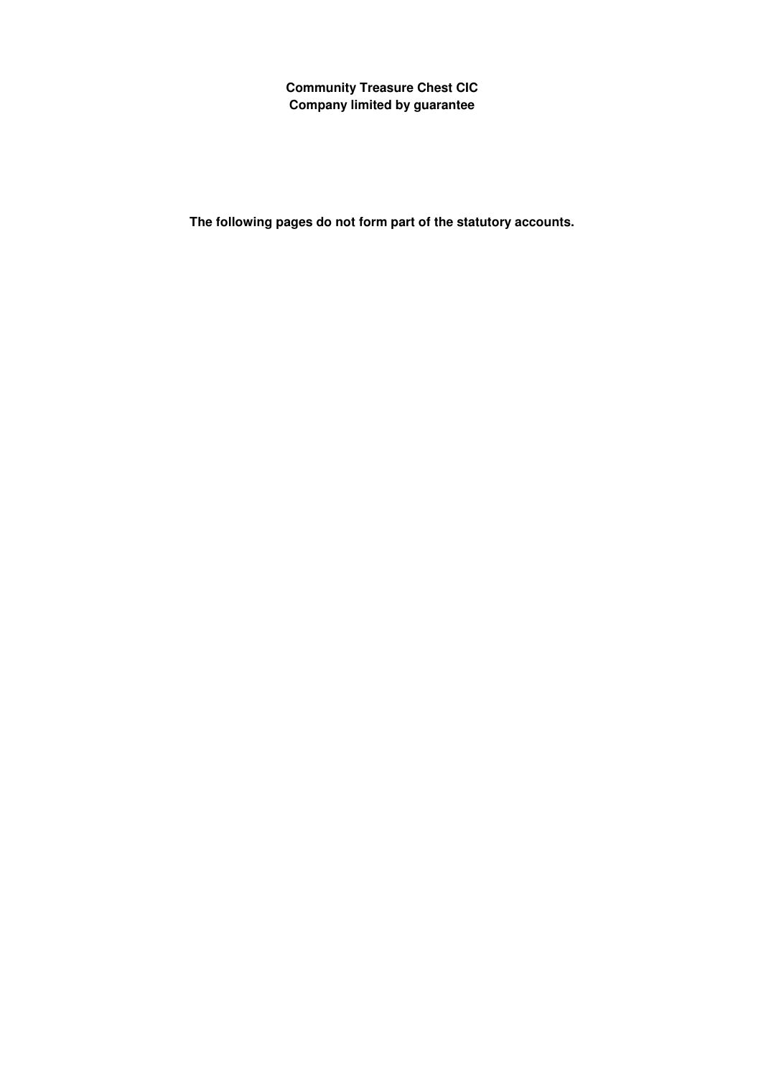**The following pages do not form part of the statutory accounts.**